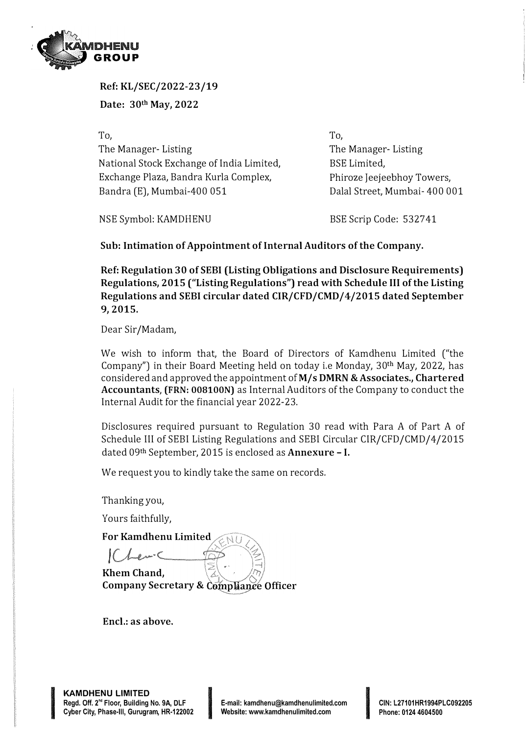

**Ref: KL/SEC/2022-23/19** 

**Date: 30th May, 2022** 

To, The Manager- Listing National Stock Exchange of India Limited, Exchange Plaza, Bandra Kurla Complex, Bandra (E), Mumbai-400 051

To, The Manager- Listing BSE Limited, Phiroze Jeejeebhoy Towers, Dalal Street, Mumbai- 400 001

NSE Symbol: KAMDHENU

BSE Scrip Code: 5327 41

**Sub: Intimation of Appointment of Internal Auditors of the Company.** 

**Ref: Regulation 30 of SEBI (Listing Obligations and Disclosure Requirements) Regulations, 2015 ("Listing Regulations") read with Schedule** III **of the Listing Regulations and SEBI circular dated CIR/CFD/CMD/4/2015 dated September 9, 2015.** 

Dear Sir/Madam,

We wish to inform that, the Board of Directors of Kamdhenu Limited ("the Company") in their Board Meeting held on today i.e Monday, 30th May, 2022, has considered and approved the appointment **ofM/s DMRN &Associates., Chartered Accountants, (FRN: 008100N)** as Internal Auditors of the Company to conduct the Internal Audit for the financial year 2022-23.

Disclosures required pursuant to Regulation 30 read with Para A of Part A of Schedule III of SEBI Listing Regulations and SEBI Circular CIR/CFD/CMD/4/2015 dated 09th September, 2015 is enclosed as **Annexure** - I.

We request you to kindly take the same on records.

Thanking you,

Yours faithfully,

**For Kamdhenu** 

 $|$  (*Len*  $\subset$ **Khem Chand,** 

**Company Secretary &** 

**Encl.: as above.** 

**In the Company of Property and Property**